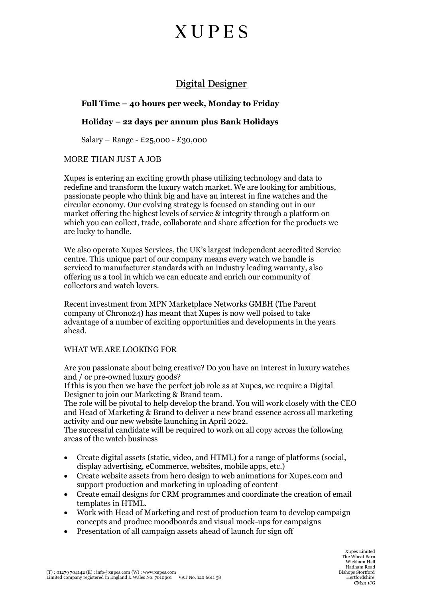## **XUPES**

### Digital Designer

#### **Full Time – 40 hours per week, Monday to Friday**

#### **Holiday – 22 days per annum plus Bank Holidays**

Salary – Range - £25,000 - £30,000

#### MORE THAN JUST A JOB

Xupes is entering an exciting growth phase utilizing technology and data to redefine and transform the luxury watch market. We are looking for ambitious, passionate people who think big and have an interest in fine watches and the circular economy. Our evolving strategy is focused on standing out in our market offering the highest levels of service & integrity through a platform on which you can collect, trade, collaborate and share affection for the products we are lucky to handle.

We also operate Xupes Services, the UK's largest independent accredited Service centre. This unique part of our company means every watch we handle is serviced to manufacturer standards with an industry leading warranty, also offering us a tool in which we can educate and enrich our community of collectors and watch lovers.

Recent investment from MPN Marketplace Networks GMBH (The Parent company of Chrono24) has meant that Xupes is now well poised to take advantage of a number of exciting opportunities and developments in the years ahead.

#### WHAT WE ARE LOOKING FOR

Are you passionate about being creative? Do you have an interest in luxury watches and / or pre-owned luxury goods?

If this is you then we have the perfect job role as at Xupes, we require a Digital Designer to join our Marketing & Brand team.

The role will be pivotal to help develop the brand. You will work closely with the CEO and Head of Marketing & Brand to deliver a new brand essence across all marketing activity and our new website launching in April 2022.

The successful candidate will be required to work on all copy across the following areas of the watch business

- Create digital assets (static, video, and HTML) for a range of platforms (social, display advertising, eCommerce, websites, mobile apps, etc.)
- Create website assets from hero design to web animations for Xupes.com and support production and marketing in uploading of content
- Create email designs for CRM programmes and coordinate the creation of email templates in HTML.
- Work with Head of Marketing and rest of production team to develop campaign concepts and produce moodboards and visual mock-ups for campaigns
- Presentation of all campaign assets ahead of launch for sign off